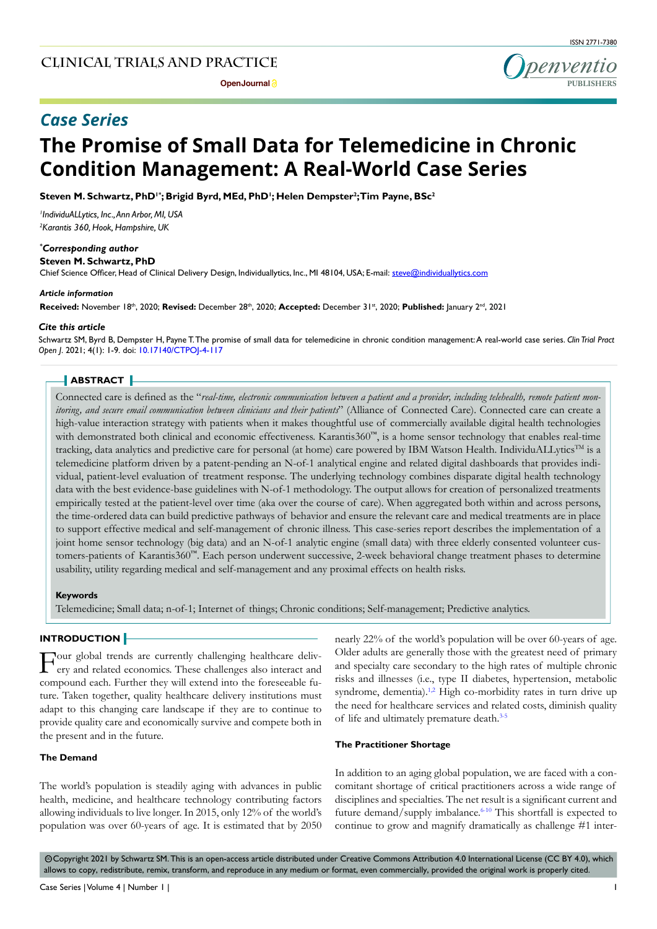**Open Journal P** 



# *Case Series*

# **The Promise of Small Data for Telemedicine in Chronic Condition Management: A Real-World Case Series**

 $\mathsf{St}$ even M. Schwartz, PhD'\*; Brigid Byrd, MEd, PhD'; Helen Dempster<sup>2</sup>;Tim Payne, BSc<sup>2</sup>

*1 IndividuALLytics, Inc., Ann Arbor, MI, USA 2 Karantis 360, Hook, Hampshire, UK*

#### *\* Corresponding author*

**Steven M. Schwartz, PhD**

Chief Science Officer, Head of Clinical Delivery Design, Individuallytics, Inc., MI 48104, USA; E-mail: steve@individuallytics.com

#### *Article information*

Received: November 18th, 2020; Revised: December 28th, 2020; Accepted: December 31st, 2020; Published: January 2nd, 2021

#### *Cite this article*

Schwartz SM, Byrd B, Dempster H, Payne T. The promise of small data for telemedicine in chronic condition management: A real-world case series. *Clin Trial Pract Open J*. 2021; 4(1): 1-9. doi: [10.17140/CTPOJ-4-117](http://dx.doi.org/10.17140/CTPOJ-4-117)

#### **ABSTRACT**

Connected care is defined as the "*real-time, electronic communication between a patient and a provider, including telehealth, remote patient monitoring, and secure email communication between clinicians and their patients*" (Alliance of Connected Care). Connected care can create a high-value interaction strategy with patients when it makes thoughtful use of commercially available digital health technologies with demonstrated both clinical and economic effectiveness. Karantis360<sup>™</sup>, is a home sensor technology that enables real-time tracking, data analytics and predictive care for personal (at home) care powered by IBM Watson Health. IndividuALLytics<sup>TM</sup> is a telemedicine platform driven by a patent-pending an N-of-1 analytical engine and related digital dashboards that provides individual, patient-level evaluation of treatment response. The underlying technology combines disparate digital health technology data with the best evidence-base guidelines with N-of-1 methodology. The output allows for creation of personalized treatments empirically tested at the patient-level over time (aka over the course of care). When aggregated both within and across persons, the time-ordered data can build predictive pathways of behavior and ensure the relevant care and medical treatments are in place to support effective medical and self-management of chronic illness. This case-series report describes the implementation of a joint home sensor technology (big data) and an N-of-1 analytic engine (small data) with three elderly consented volunteer customers-patients of Karantis360™. Each person underwent successive, 2-week behavioral change treatment phases to determine usability, utility regarding medical and self-management and any proximal effects on health risks.

#### **Keywords**

Telemedicine; Small data; n-of-1; Internet of things; Chronic conditions; Self-management; Predictive analytics.

# **INTRODUCTION**

Four global trends are currently challenging healthcare delivery and related economics. These challenges also interact and compound each. Further they will extend into the foreseeable future. Taken together, quality healthcare delivery institutions must adapt to this changing care landscape if they are to continue to provide quality care and economically survive and compete both in the present and in the future.

#### **The Demand**

The world's population is steadily aging with advances in public health, medicine, and healthcare technology contributing factors allowing individuals to live longer. In 2015, only 12% of the world's population was over 60-years of age. It is estimated that by 2050

nearly 22% of the world's population will be over 60-years of age. Older adults are generally those with the greatest need of primary and specialty care secondary to the high rates of multiple chronic risks and illnesses (i.e., type II diabetes, hypertension, metabolic syndrome, dementia).<sup>1,2</sup> High co-morbidity rates in turn drive up the need for healthcare services and related costs, diminish quality of life and ultimately premature death.[3-5](#page-7-1)

#### **The Practitioner Shortage**

In addition to an aging global population, we are faced with a concomitant shortage of critical practitioners across a wide range of disciplines and specialties. The net result is a significant current and future demand/supply imbalance.<sup>6-10</sup> This shortfall is expected to continue to grow and magnify dramatically as challenge #1 inter-

© Copyright 2021 by Schwartz SM. This is an open-access article distributed under Creative Commons Attribution 4.0 International License (CC BY 4.0), which allows to copy, redistribute, remix, transform, and reproduce in any medium or format, even commercially, provided the original work is properly cited.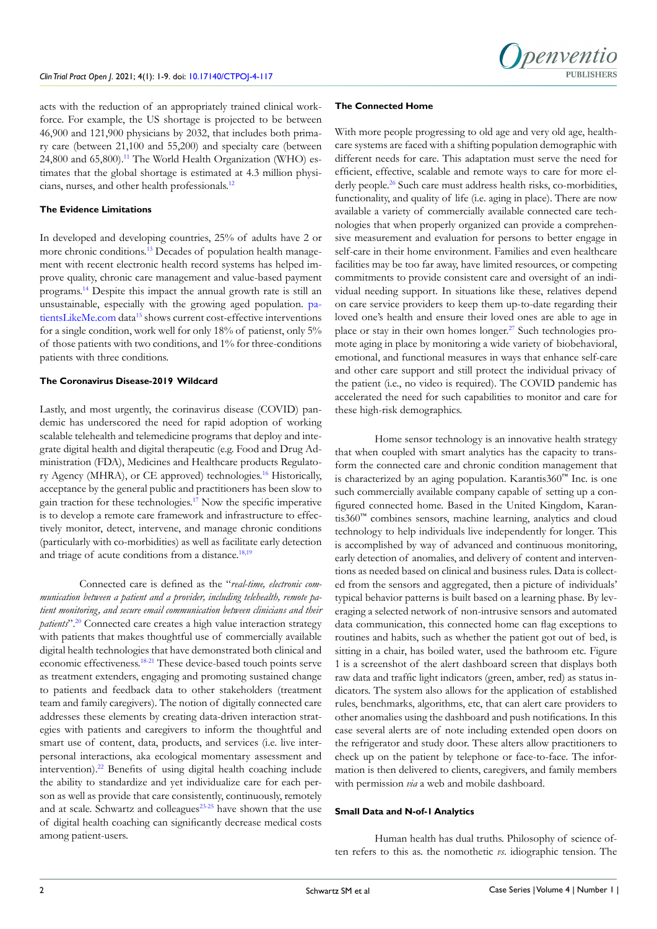

acts with the reduction of an appropriately trained clinical workforce. For example, the US shortage is projected to be between 46,900 and 121,900 physicians by 2032, that includes both primary care (between 21,100 and 55,200) and specialty care (between 24,800 and 65,800).<sup>11</sup> The World Health Organization (WHO) estimates that the global shortage is estimated at 4.3 million physicians, nurses, and other health professionals[.12](#page-7-4)

#### **The Evidence Limitations**

In developed and developing countries, 25% of adults have 2 or more chronic conditions.[13](#page-7-5) Decades of population health management with recent electronic health record systems has helped improve quality, chronic care management and value-based payment programs.[14](#page-8-0) Despite this impact the annual growth rate is still an unsustainable, especially with the growing aged population. [pa](patientsLikeMe.com)[tientsLikeMe.com](patientsLikeMe.com) data<sup>15</sup> shows current cost-effective interventions for a single condition, work well for only 18% of patienst, only 5% of those patients with two conditions, and 1% for three-conditions patients with three conditions.

# **The Coronavirus Disease-2019 Wildcard**

Lastly, and most urgently, the corinavirus disease (COVID) pandemic has underscored the need for rapid adoption of working scalable telehealth and telemedicine programs that deploy and integrate digital health and digital therapeutic (e.g. Food and Drug Administration (FDA), Medicines and Healthcare products Regulatory Agency (MHRA), or CE approved) technologies.[16](#page-8-2) Historically, acceptance by the general public and practitioners has been slow to gain traction for these technologies.[17](#page-8-3) Now the specific imperative is to develop a remote care framework and infrastructure to effectively monitor, detect, intervene, and manage chronic conditions (particularly with co-morbidities) as well as facilitate early detection and triage of acute conditions from a distance.<sup>18,19</sup>

Connected care is defined as the "*real-time, electronic communication between a patient and a provider, including telehealth, remote patient monitoring, and secure email communication between clinicians and their patients*".[20](#page-8-5) Connected care creates a high value interaction strategy with patients that makes thoughtful use of commercially available digital health technologies that have demonstrated both clinical and economic effectiveness[.18-21](#page-8-4) These device-based touch points serve as treatment extenders, engaging and promoting sustained change to patients and feedback data to other stakeholders (treatment team and family caregivers). The notion of digitally connected care addresses these elements by creating data-driven interaction strategies with patients and caregivers to inform the thoughtful and smart use of content, data, products, and services (i.e. live interpersonal interactions, aka ecological momentary assessment and intervention).<sup>22</sup> Benefits of using digital health coaching include the ability to standardize and yet individualize care for each person as well as provide that care consistently, continuously, remotely and at scale. Schwartz and colleagues<sup>23-25</sup> have shown that the use of digital health coaching can significantly decrease medical costs among patient-users.

#### **The Connected Home**

With more people progressing to old age and very old age, healthcare systems are faced with a shifting population demographic with different needs for care. This adaptation must serve the need for efficient, effective, scalable and remote ways to care for more el-derly people.<sup>[26](#page-8-8)</sup> Such care must address health risks, co-morbidities, functionality, and quality of life (i.e. aging in place). There are now available a variety of commercially available connected care technologies that when properly organized can provide a comprehensive measurement and evaluation for persons to better engage in self-care in their home environment. Families and even healthcare facilities may be too far away, have limited resources, or competing commitments to provide consistent care and oversight of an individual needing support. In situations like these, relatives depend on care service providers to keep them up-to-date regarding their loved one's health and ensure their loved ones are able to age in place or stay in their own homes longer.<sup>27</sup> Such technologies promote aging in place by monitoring a wide variety of biobehavioral, emotional, and functional measures in ways that enhance self-care and other care support and still protect the individual privacy of the patient (i.e., no video is required). The COVID pandemic has accelerated the need for such capabilities to monitor and care for these high-risk demographics.

Home sensor technology is an innovative health strategy that when coupled with smart analytics has the capacity to transform the connected care and chronic condition management that is characterized by an aging population. Karantis360™ Inc. is one such commercially available company capable of setting up a configured connected home. Based in the United Kingdom, Karantis360™ combines sensors, machine learning, analytics and cloud technology to help individuals live independently for longer. This is accomplished by way of advanced and continuous monitoring, early detection of anomalies, and delivery of content and interventions as needed based on clinical and business rules. Data is collected from the sensors and aggregated, then a picture of individuals' typical behavior patterns is built based on a learning phase. By leveraging a selected network of non-intrusive sensors and automated data communication, this connected home can flag exceptions to routines and habits, such as whether the patient got out of bed, is sitting in a chair, has boiled water, used the bathroom etc. Figure 1 is a screenshot of the alert dashboard screen that displays both raw data and traffic light indicators (green, amber, red) as status indicators. The system also allows for the application of established rules, benchmarks, algorithms, etc, that can alert care providers to other anomalies using the dashboard and push notifications. In this case several alerts are of note including extended open doors on the refrigerator and study door. These alters allow practitioners to check up on the patient by telephone or face-to-face. The information is then delivered to clients, caregivers, and family members with permission *via* a web and mobile dashboard.

#### **Small Data and N-of-1 Analytics**

Human health has dual truths. Philosophy of science often refers to this as. the nomothetic *vs*. idiographic tension. The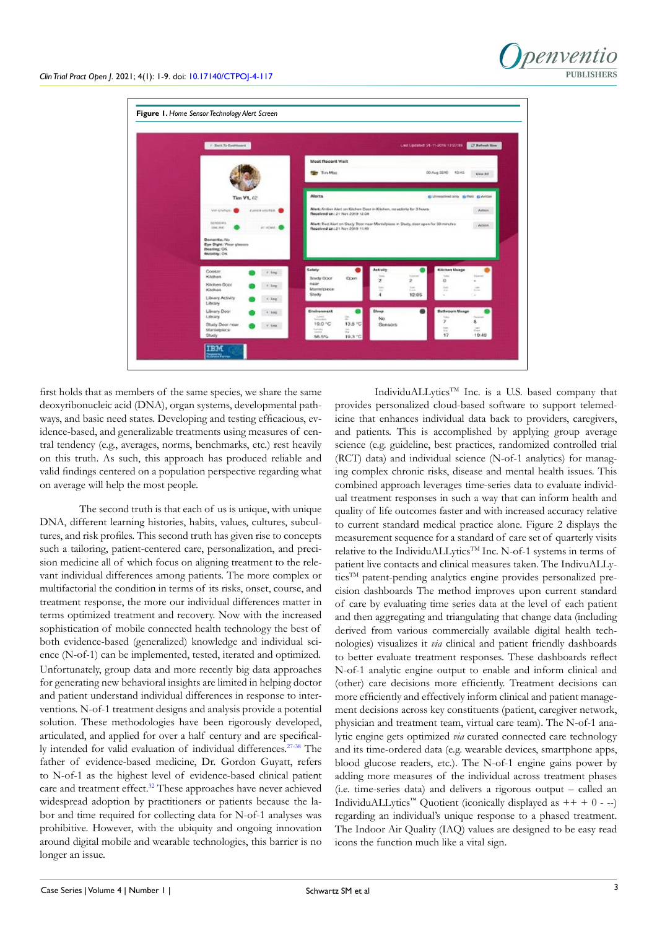

first holds that as members of the same species, we share the same deoxyribonucleic acid (DNA), organ systems, developmental pathways, and basic need states. Developing and testing efficacious, evidence-based, and generalizable treatments using measures of central tendency (e.g., averages, norms, benchmarks, etc.) rest heavily on this truth. As such, this approach has produced reliable and valid findings centered on a population perspective regarding what on average will help the most people.

The second truth is that each of us is unique, with unique DNA, different learning histories, habits, values, cultures, subcultures, and risk profiles. This second truth has given rise to concepts such a tailoring, patient-centered care, personalization, and precision medicine all of which focus on aligning treatment to the relevant individual differences among patients. The more complex or multifactorial the condition in terms of its risks, onset, course, and treatment response, the more our individual differences matter in terms optimized treatment and recovery. Now with the increased sophistication of mobile connected health technology the best of both evidence-based (generalized) knowledge and individual science (N-of-1) can be implemented, tested, iterated and optimized. Unfortunately, group data and more recently big data approaches for generating new behavioral insights are limited in helping doctor and patient understand individual differences in response to interventions. N-of-1 treatment designs and analysis provide a potential solution. These methodologies have been rigorously developed, articulated, and applied for over a half century and are specifically intended for valid evaluation of individual differences.<sup>27-38</sup> The father of evidence-based medicine, Dr. Gordon Guyatt, refers to N-of-1 as the highest level of evidence-based clinical patient care and treatment effect.<sup>[32](#page-8-10)</sup> These approaches have never achieved widespread adoption by practitioners or patients because the labor and time required for collecting data for N-of-1 analyses was prohibitive. However, with the ubiquity and ongoing innovation around digital mobile and wearable technologies, this barrier is no longer an issue.

IndividuALLytics<sup>TM</sup> Inc. is a U.S. based company that provides personalized cloud-based software to support telemedicine that enhances individual data back to providers, caregivers, and patients. This is accomplished by applying group average science (e.g. guideline, best practices, randomized controlled trial (RCT) data) and individual science (N-of-1 analytics) for managing complex chronic risks, disease and mental health issues. This combined approach leverages time-series data to evaluate individual treatment responses in such a way that can inform health and quality of life outcomes faster and with increased accuracy relative to current standard medical practice alone. Figure 2 displays the measurement sequence for a standard of care set of quarterly visits relative to the IndividuALLytics™ Inc. N-of-1 systems in terms of patient live contacts and clinical measures taken. The IndivuALLyticsTM patent-pending analytics engine provides personalized precision dashboards The method improves upon current standard of care by evaluating time series data at the level of each patient and then aggregating and triangulating that change data (including derived from various commercially available digital health technologies) visualizes it *via* clinical and patient friendly dashboards to better evaluate treatment responses. These dashboards reflect N-of-1 analytic engine output to enable and inform clinical and (other) care decisions more efficiently. Treatment decisions can more efficiently and effectively inform clinical and patient management decisions across key constituents (patient, caregiver network, physician and treatment team, virtual care team). The N-of-1 analytic engine gets optimized *via* curated connected care technology and its time-ordered data (e.g. wearable devices, smartphone apps, blood glucose readers, etc.). The N-of-1 engine gains power by adding more measures of the individual across treatment phases (i.e. time-series data) and delivers a rigorous output – called an IndividuALLytics<sup>™</sup> Quotient (iconically displayed as  $++ + 0 - -$ ) regarding an individual's unique response to a phased treatment. The Indoor Air Quality (IAQ) values are designed to be easy read icons the function much like a vital sign.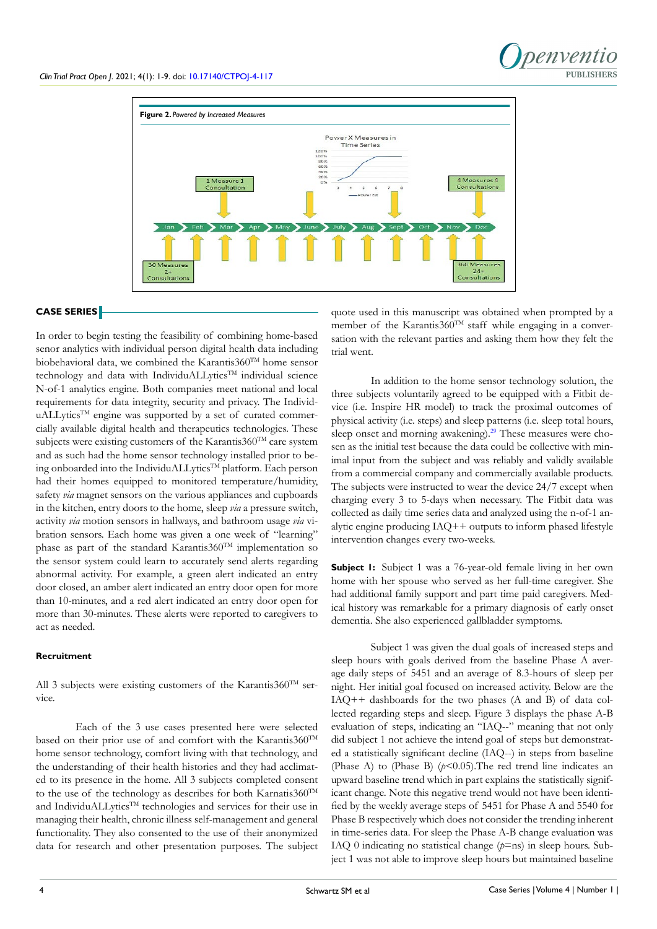



# **CASE SERIES**

In order to begin testing the feasibility of combining home-based senor analytics with individual person digital health data including biobehavioral data, we combined the Karantis $360^{TM}$  home sensor technology and data with IndividuALLytics<sup>TM</sup> individual science N-of-1 analytics engine. Both companies meet national and local requirements for data integrity, security and privacy. The IndividuALLytics<sup>TM</sup> engine was supported by a set of curated commercially available digital health and therapeutics technologies. These subjects were existing customers of the Karantis $360^{TM}$  care system and as such had the home sensor technology installed prior to being onboarded into the IndividuALLytics™ platform. Each person had their homes equipped to monitored temperature/humidity, safety *via* magnet sensors on the various appliances and cupboards in the kitchen, entry doors to the home, sleep *via* a pressure switch, activity *via* motion sensors in hallways, and bathroom usage *via* vibration sensors. Each home was given a one week of "learning" phase as part of the standard Karantis360TM implementation so the sensor system could learn to accurately send alerts regarding abnormal activity. For example, a green alert indicated an entry door closed, an amber alert indicated an entry door open for more than 10-minutes, and a red alert indicated an entry door open for more than 30-minutes. These alerts were reported to caregivers to act as needed.

#### **Recruitment**

All 3 subjects were existing customers of the Karantis360<sup>TM</sup> service.

Each of the 3 use cases presented here were selected based on their prior use of and comfort with the Karantis360TM home sensor technology, comfort living with that technology, and the understanding of their health histories and they had acclimated to its presence in the home. All 3 subjects completed consent to the use of the technology as describes for both Karnatis $360^{TM}$ and IndividuALLytics<sup>TM</sup> technologies and services for their use in managing their health, chronic illness self-management and general functionality. They also consented to the use of their anonymized data for research and other presentation purposes. The subject

quote used in this manuscript was obtained when prompted by a member of the Karantis360<sup>TM</sup> staff while engaging in a conversation with the relevant parties and asking them how they felt the trial went.

In addition to the home sensor technology solution, the three subjects voluntarily agreed to be equipped with a Fitbit device (i.e. Inspire HR model) to track the proximal outcomes of physical activity (i.e. steps) and sleep patterns (i.e. sleep total hours, sleep onset and morning awakening).<sup>[29](#page-8-11)</sup> These measures were chosen as the initial test because the data could be collective with minimal input from the subject and was reliably and validly available from a commercial company and commercially available products. The subjects were instructed to wear the device 24/7 except when charging every 3 to 5-days when necessary. The Fitbit data was collected as daily time series data and analyzed using the n-of-1 analytic engine producing  $IAO++$  outputs to inform phased lifestyle intervention changes every two-weeks.

**Subject 1:** Subject 1 was a 76-year-old female living in her own home with her spouse who served as her full-time caregiver. She had additional family support and part time paid caregivers. Medical history was remarkable for a primary diagnosis of early onset dementia. She also experienced gallbladder symptoms.

Subject 1 was given the dual goals of increased steps and sleep hours with goals derived from the baseline Phase A average daily steps of 5451 and an average of 8.3-hours of sleep per night. Her initial goal focused on increased activity. Below are the IAQ++ dashboards for the two phases (A and B) of data collected regarding steps and sleep. Figure 3 displays the phase A-B evaluation of steps, indicating an "IAQ--" meaning that not only did subject 1 not achieve the intend goal of steps but demonstrated a statistically significant decline (IAQ--) in steps from baseline (Phase A) to (Phase B)  $(p<0.05)$ . The red trend line indicates an upward baseline trend which in part explains the statistically significant change. Note this negative trend would not have been identified by the weekly average steps of 5451 for Phase A and 5540 for Phase B respectively which does not consider the trending inherent in time-series data. For sleep the Phase A-B change evaluation was IAQ 0 indicating no statistical change (*p*=ns) in sleep hours. Subject 1 was not able to improve sleep hours but maintained baseline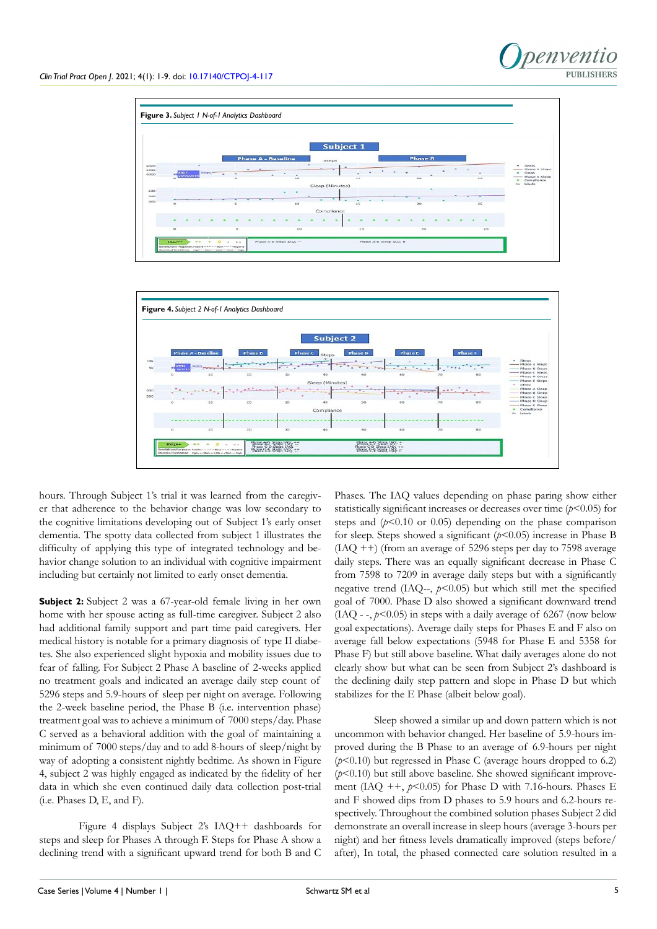



hours. Through Subject 1's trial it was learned from the caregiver that adherence to the behavior change was low secondary to the cognitive limitations developing out of Subject 1's early onset dementia. The spotty data collected from subject 1 illustrates the difficulty of applying this type of integrated technology and behavior change solution to an individual with cognitive impairment including but certainly not limited to early onset dementia.

**Subject 2:** Subject 2 was a 67-year-old female living in her own home with her spouse acting as full-time caregiver. Subject 2 also had additional family support and part time paid caregivers. Her medical history is notable for a primary diagnosis of type II diabetes. She also experienced slight hypoxia and mobility issues due to fear of falling. For Subject 2 Phase A baseline of 2-weeks applied no treatment goals and indicated an average daily step count of 5296 steps and 5.9-hours of sleep per night on average. Following the 2-week baseline period, the Phase B (i.e. intervention phase) treatment goal was to achieve a minimum of 7000 steps/day. Phase C served as a behavioral addition with the goal of maintaining a minimum of 7000 steps/day and to add 8-hours of sleep/night by way of adopting a consistent nightly bedtime. As shown in Figure 4, subject 2 was highly engaged as indicated by the fidelity of her data in which she even continued daily data collection post-trial (i.e. Phases D, E, and F).

Figure 4 displays Subject 2's IAQ++ dashboards for steps and sleep for Phases A through F. Steps for Phase A show a declining trend with a significant upward trend for both B and C

Phases. The IAQ values depending on phase paring show either statistically significant increases or decreases over time (*p*<0.05) for steps and  $(p<0.10$  or 0.05) depending on the phase comparison for sleep. Steps showed a significant (*p*<0.05) increase in Phase B  $(IAQ++)$  (from an average of 5296 steps per day to 7598 average daily steps. There was an equally significant decrease in Phase C from 7598 to 7209 in average daily steps but with a significantly negative trend (IAQ--,  $p$ <0.05) but which still met the specified goal of 7000. Phase D also showed a significant downward trend  $(IAQ - 1, p \le 0.05)$  in steps with a daily average of 6267 (now below goal expectations). Average daily steps for Phases E and F also on average fall below expectations (5948 for Phase E and 5358 for Phase F) but still above baseline. What daily averages alone do not clearly show but what can be seen from Subject 2's dashboard is the declining daily step pattern and slope in Phase D but which stabilizes for the E Phase (albeit below goal).

Sleep showed a similar up and down pattern which is not uncommon with behavior changed. Her baseline of 5.9-hours improved during the B Phase to an average of 6.9-hours per night  $(p<0.10)$  but regressed in Phase C (average hours dropped to 6.2)  $(p<0.10)$  but still above baseline. She showed significant improvement (IAQ  $++$ ,  $p<0.05$ ) for Phase D with 7.16-hours. Phases E and F showed dips from D phases to 5.9 hours and 6.2-hours respectively. Throughout the combined solution phases Subject 2 did demonstrate an overall increase in sleep hours (average 3-hours per night) and her fitness levels dramatically improved (steps before/ after), In total, the phased connected care solution resulted in a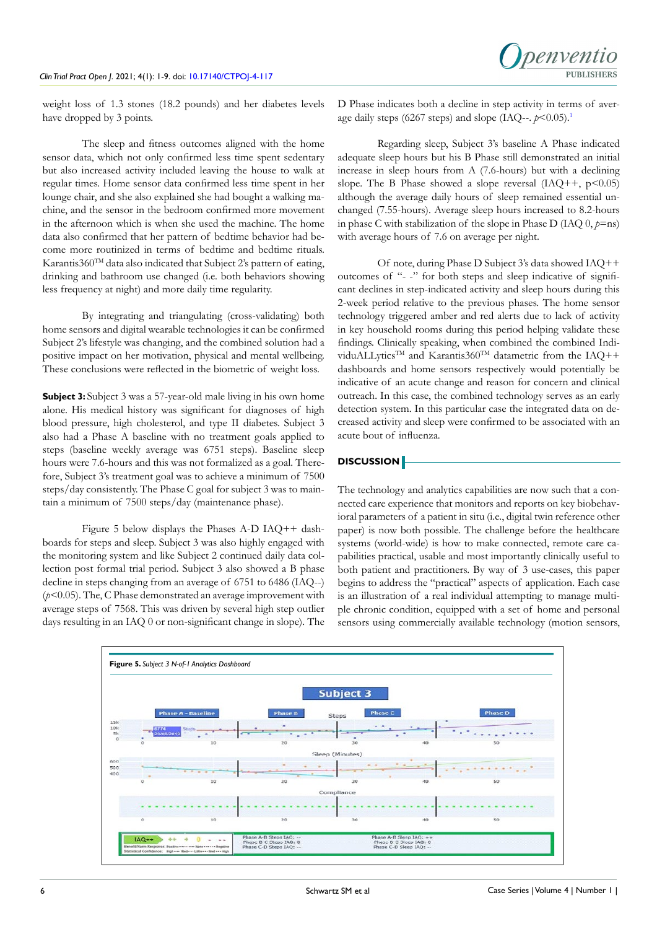weight loss of 1.3 stones (18.2 pounds) and her diabetes levels have dropped by 3 points.

The sleep and fitness outcomes aligned with the home sensor data, which not only confirmed less time spent sedentary but also increased activity included leaving the house to walk at regular times. Home sensor data confirmed less time spent in her lounge chair, and she also explained she had bought a walking machine, and the sensor in the bedroom confirmed more movement in the afternoon which is when she used the machine. The home data also confirmed that her pattern of bedtime behavior had become more routinized in terms of bedtime and bedtime rituals. Karantis360<sup>TM</sup> data also indicated that Subject 2's pattern of eating, drinking and bathroom use changed (i.e. both behaviors showing less frequency at night) and more daily time regularity.

By integrating and triangulating (cross-validating) both home sensors and digital wearable technologies it can be confirmed Subject 2's lifestyle was changing, and the combined solution had a positive impact on her motivation, physical and mental wellbeing. These conclusions were reflected in the biometric of weight loss.

**Subject 3:** Subject 3 was a 57-year-old male living in his own home alone. His medical history was significant for diagnoses of high blood pressure, high cholesterol, and type II diabetes. Subject 3 also had a Phase A baseline with no treatment goals applied to steps (baseline weekly average was 6751 steps). Baseline sleep hours were 7.6-hours and this was not formalized as a goal. Therefore, Subject 3's treatment goal was to achieve a minimum of 7500 steps/day consistently. The Phase C goal for subject 3 was to maintain a minimum of 7500 steps/day (maintenance phase).

Figure 5 below displays the Phases A-D IAQ++ dashboards for steps and sleep. Subject 3 was also highly engaged with the monitoring system and like Subject 2 continued daily data collection post formal trial period. Subject 3 also showed a B phase decline in steps changing from an average of 6751 to 6486 (IAQ--) (*p*<0.05). The, C Phase demonstrated an average improvement with average steps of 7568. This was driven by several high step outlier days resulting in an IAQ 0 or non-significant change in slope). The D Phase indicates both a decline in step activity in terms of average daily steps (6267 steps) and slope (IAQ--.  $p \le 0.05$ ).<sup>1</sup>

Regarding sleep, Subject 3's baseline A Phase indicated adequate sleep hours but his B Phase still demonstrated an initial increase in sleep hours from A (7.6-hours) but with a declining slope. The B Phase showed a slope reversal  $(IAQ++, p<0.05)$ although the average daily hours of sleep remained essential unchanged (7.55-hours). Average sleep hours increased to 8.2-hours in phase C with stabilization of the slope in Phase D (IAQ  $0, p=n$ s) with average hours of 7.6 on average per night.

Of note, during Phase D Subject 3's data showed IAQ++ outcomes of "- -" for both steps and sleep indicative of significant declines in step-indicated activity and sleep hours during this 2-week period relative to the previous phases. The home sensor technology triggered amber and red alerts due to lack of activity in key household rooms during this period helping validate these findings. Clinically speaking, when combined the combined IndividuALLytics<sup>TM</sup> and Karantis360<sup>TM</sup> datametric from the IAQ++ dashboards and home sensors respectively would potentially be indicative of an acute change and reason for concern and clinical outreach. In this case, the combined technology serves as an early detection system. In this particular case the integrated data on decreased activity and sleep were confirmed to be associated with an acute bout of influenza.

# **DISCUSSION**

The technology and analytics capabilities are now such that a connected care experience that monitors and reports on key biobehavioral parameters of a patient in situ (i.e., digital twin reference other paper) is now both possible. The challenge before the healthcare systems (world-wide) is how to make connected, remote care capabilities practical, usable and most importantly clinically useful to both patient and practitioners. By way of 3 use-cases, this paper begins to address the "practical" aspects of application. Each case is an illustration of a real individual attempting to manage multiple chronic condition, equipped with a set of home and personal sensors using commercially available technology (motion sensors,

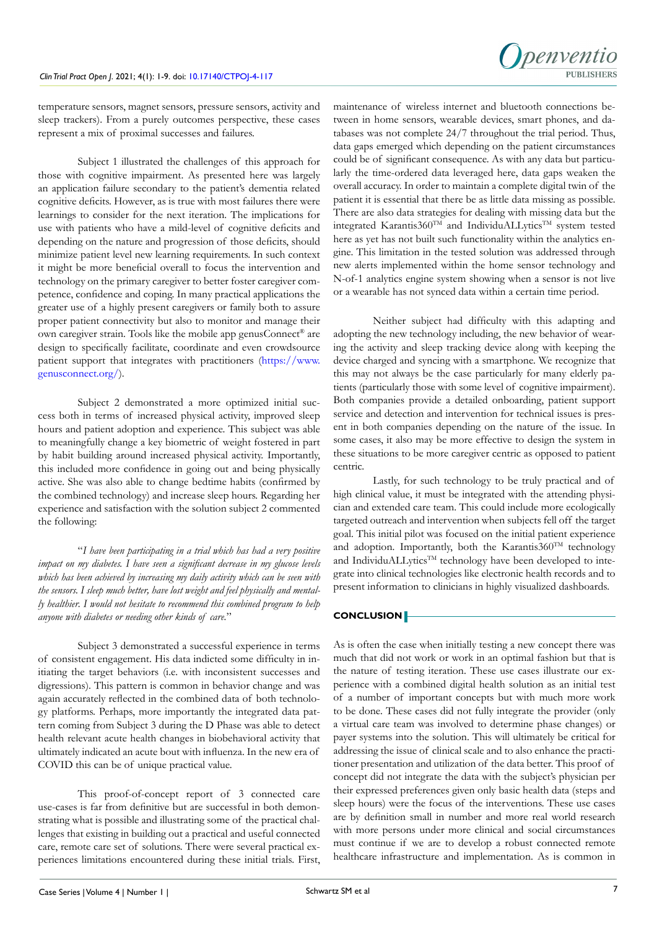

temperature sensors, magnet sensors, pressure sensors, activity and sleep trackers). From a purely outcomes perspective, these cases represent a mix of proximal successes and failures.

Subject 1 illustrated the challenges of this approach for those with cognitive impairment. As presented here was largely an application failure secondary to the patient's dementia related cognitive deficits. However, as is true with most failures there were learnings to consider for the next iteration. The implications for use with patients who have a mild-level of cognitive deficits and depending on the nature and progression of those deficits, should minimize patient level new learning requirements. In such context it might be more beneficial overall to focus the intervention and technology on the primary caregiver to better foster caregiver competence, confidence and coping. In many practical applications the greater use of a highly present caregivers or family both to assure proper patient connectivity but also to monitor and manage their own caregiver strain. Tools like the mobile app genusConnect® are design to specifically facilitate, coordinate and even crowdsource patient support that integrates with practitioners [\(https://www.](https://www.genusconnect.org/) [genusconnect.org/](https://www.genusconnect.org/)).

Subject 2 demonstrated a more optimized initial success both in terms of increased physical activity, improved sleep hours and patient adoption and experience. This subject was able to meaningfully change a key biometric of weight fostered in part by habit building around increased physical activity. Importantly, this included more confidence in going out and being physically active. She was also able to change bedtime habits (confirmed by the combined technology) and increase sleep hours. Regarding her experience and satisfaction with the solution subject 2 commented the following:

"*I have been participating in a trial which has had a very positive impact on my diabetes. I have seen a significant decrease in my glucose levels which has been achieved by increasing my daily activity which can be seen with the sensors. I sleep much better, have lost weight and feel physically and mentally healthier. I would not hesitate to recommend this combined program to help anyone with diabetes or needing other kinds of care.*"

Subject 3 demonstrated a successful experience in terms of consistent engagement. His data indicted some difficulty in initiating the target behaviors (i.e. with inconsistent successes and digressions). This pattern is common in behavior change and was again accurately reflected in the combined data of both technology platforms. Perhaps, more importantly the integrated data pattern coming from Subject 3 during the D Phase was able to detect health relevant acute health changes in biobehavioral activity that ultimately indicated an acute bout with influenza. In the new era of COVID this can be of unique practical value.

This proof-of-concept report of 3 connected care use-cases is far from definitive but are successful in both demonstrating what is possible and illustrating some of the practical challenges that existing in building out a practical and useful connected care, remote care set of solutions. There were several practical experiences limitations encountered during these initial trials. First, maintenance of wireless internet and bluetooth connections between in home sensors, wearable devices, smart phones, and databases was not complete 24/7 throughout the trial period. Thus, data gaps emerged which depending on the patient circumstances could be of significant consequence. As with any data but particularly the time-ordered data leveraged here, data gaps weaken the overall accuracy. In order to maintain a complete digital twin of the patient it is essential that there be as little data missing as possible. There are also data strategies for dealing with missing data but the integrated Karantis360<sup>TM</sup> and IndividuALLytics<sup>TM</sup> system tested here as yet has not built such functionality within the analytics engine. This limitation in the tested solution was addressed through new alerts implemented within the home sensor technology and N-of-1 analytics engine system showing when a sensor is not live or a wearable has not synced data within a certain time period.

Neither subject had difficulty with this adapting and adopting the new technology including, the new behavior of wearing the activity and sleep tracking device along with keeping the device charged and syncing with a smartphone. We recognize that this may not always be the case particularly for many elderly patients (particularly those with some level of cognitive impairment). Both companies provide a detailed onboarding, patient support service and detection and intervention for technical issues is present in both companies depending on the nature of the issue. In some cases, it also may be more effective to design the system in these situations to be more caregiver centric as opposed to patient centric.

Lastly, for such technology to be truly practical and of high clinical value, it must be integrated with the attending physician and extended care team. This could include more ecologically targeted outreach and intervention when subjects fell off the target goal. This initial pilot was focused on the initial patient experience and adoption. Importantly, both the Karantis360<sup>TM</sup> technology and IndividuALLytics™ technology have been developed to integrate into clinical technologies like electronic health records and to present information to clinicians in highly visualized dashboards.

# **CONCLUSION**

As is often the case when initially testing a new concept there was much that did not work or work in an optimal fashion but that is the nature of testing iteration. These use cases illustrate our experience with a combined digital health solution as an initial test of a number of important concepts but with much more work to be done. These cases did not fully integrate the provider (only a virtual care team was involved to determine phase changes) or payer systems into the solution. This will ultimately be critical for addressing the issue of clinical scale and to also enhance the practitioner presentation and utilization of the data better. This proof of concept did not integrate the data with the subject's physician per their expressed preferences given only basic health data (steps and sleep hours) were the focus of the interventions. These use cases are by definition small in number and more real world research with more persons under more clinical and social circumstances must continue if we are to develop a robust connected remote healthcare infrastructure and implementation. As is common in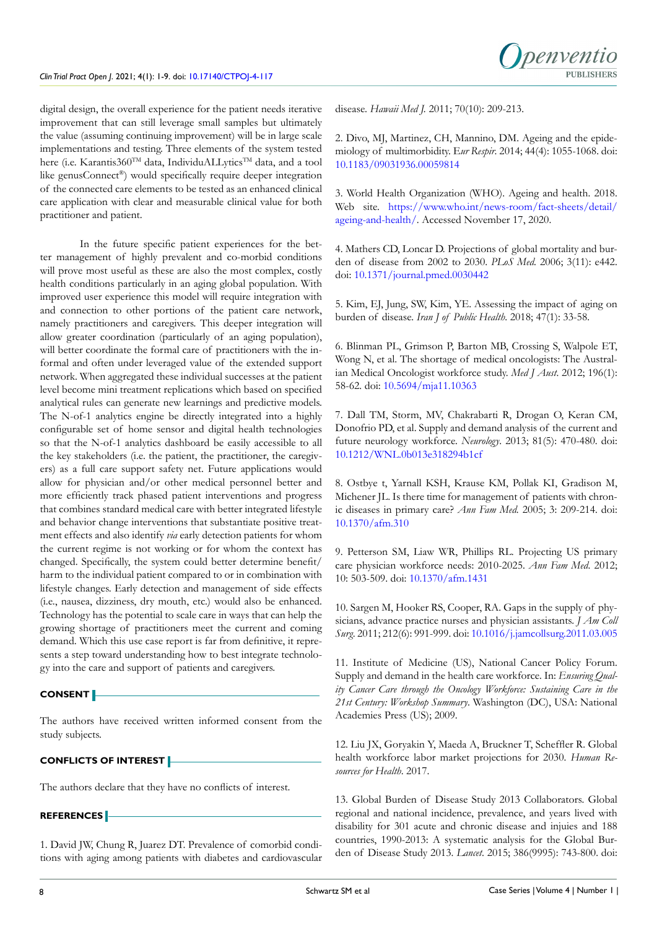digital design, the overall experience for the patient needs iterative improvement that can still leverage small samples but ultimately the value (assuming continuing improvement) will be in large scale implementations and testing. Three elements of the system tested here (i.e. Karantis360TM data, IndividuALLyticsTM data, and a tool like genusConnect®) would specifically require deeper integration of the connected care elements to be tested as an enhanced clinical care application with clear and measurable clinical value for both practitioner and patient.

In the future specific patient experiences for the better management of highly prevalent and co-morbid conditions will prove most useful as these are also the most complex, costly health conditions particularly in an aging global population. With improved user experience this model will require integration with and connection to other portions of the patient care network, namely practitioners and caregivers. This deeper integration will allow greater coordination (particularly of an aging population), will better coordinate the formal care of practitioners with the informal and often under leveraged value of the extended support network. When aggregated these individual successes at the patient level become mini treatment replications which based on specified analytical rules can generate new learnings and predictive models. The N-of-1 analytics engine be directly integrated into a highly configurable set of home sensor and digital health technologies so that the N-of-1 analytics dashboard be easily accessible to all the key stakeholders (i.e. the patient, the practitioner, the caregivers) as a full care support safety net. Future applications would allow for physician and/or other medical personnel better and more efficiently track phased patient interventions and progress that combines standard medical care with better integrated lifestyle and behavior change interventions that substantiate positive treatment effects and also identify *via* early detection patients for whom the current regime is not working or for whom the context has changed. Specifically, the system could better determine benefit/ harm to the individual patient compared to or in combination with lifestyle changes. Early detection and management of side effects (i.e., nausea, dizziness, dry mouth, etc.) would also be enhanced. Technology has the potential to scale care in ways that can help the growing shortage of practitioners meet the current and coming demand. Which this use case report is far from definitive, it represents a step toward understanding how to best integrate technology into the care and support of patients and caregivers.

# **CONSENT**

The authors have received written informed consent from the study subjects.

# **CONFLICTS OF INTEREST**

The authors declare that they have no conflicts of interest.

# **REFERENCES**

<span id="page-7-0"></span>1. David JW, Chung R, Juarez DT. Prevalence of comorbid conditions with aging among patients with diabetes and cardiovascular disease. *Hawaii Med J.* 2011; 70(10): 209-213.

2. Divo, MJ, Martinez, CH, Mannino, DM. Ageing and the epidemiology of multimorbidity. E*ur Respir*. 2014; 44(4): 1055-1068. doi: [10.1183/09031936.00059814](https://doi.org/10.1183/09031936.00059814)

<span id="page-7-1"></span>3. World Health Organization (WHO). Ageing and health. 2018. Web site. [https://www.who.int/news-room/fact-sheets/detail/](https://www.who.int/news-room/fact-sheets/detail/ageing-and-health/) [ageing-and-health/.](https://www.who.int/news-room/fact-sheets/detail/ageing-and-health/) Accessed November 17, 2020.

4. Mathers CD, Loncar D. Projections of global mortality and burden of disease from 2002 to 2030. *PLoS Med*. 2006; 3(11): e442. doi: [10.1371/journal.pmed.0030442](https://doi.org/10.1371/journal.pmed.0030442)

5. Kim, EJ, Jung, SW, Kim, YE. Assessing the impact of aging on burden of disease. *Iran J of Public Health*. 2018; 47(1): 33-58.

<span id="page-7-2"></span>6. Blinman PL, Grimson P, Barton MB, Crossing S, Walpole ET, Wong N, et al. The shortage of medical oncologists: The Australian Medical Oncologist workforce study. *Med J Aust*. 2012; 196(1): 58-62. doi: [10.5694/mja11.10363](https://doi.org/10.5694/mja11.10363)

7. Dall TM, Storm, MV, Chakrabarti R, Drogan O, Keran CM, Donofrio PD, et al. Supply and demand analysis of the current and future neurology workforce. *Neurology*. 2013; 81(5): 470-480. doi: [10.1212/WNL.0b013e318294b1cf](https://doi.org/10.1212/WNL.0b013e318294b1cf)

8. Ostbye t, Yarnall KSH, Krause KM, Pollak KI, Gradison M, Michener JL. Is there time for management of patients with chronic diseases in primary care? *Ann Fam Med.* 2005; 3: 209-214. doi: [10.1370/afm.310](https://doi.org/10.1370/afm.310)

9. Petterson SM, Liaw WR, Phillips RL. Projecting US primary care physician workforce needs: 2010-2025. *Ann Fam Med*. 2012; 10: 503-509. doi: [10.1370/afm.1431](https://doi.org/10.1370/afm.1431)

10. Sargen M, Hooker RS, Cooper, RA. Gaps in the supply of physicians, advance practice nurses and physician assistants. *J Am Coll Surg*. 2011; 212(6): 991-999. doi: [10.1016/j.jamcollsurg.2011.03.005](https://doi.org/10.1016/j.jamcollsurg.2011.03.005%0D)

<span id="page-7-3"></span>11. Institute of Medicine (US), National Cancer Policy Forum. Supply and demand in the health care workforce. In: *Ensuring Quality Cancer Care through the Oncology Workforce: Sustaining Care in the 21st Century: Workshop Summary*. Washington (DC), USA: National Academies Press (US); 2009.

<span id="page-7-4"></span>12. Liu JX, Goryakin Y, Maeda A, Bruckner T, Scheffler R. Global health workforce labor market projections for 2030. *Human Resources for Health*. 2017.

<span id="page-7-5"></span>13. Global Burden of Disease Study 2013 Collaborators. Global regional and national incidence, prevalence, and years lived with disability for 301 acute and chronic disease and injuies and 188 countries, 1990-2013: A systematic analysis for the Global Burden of Disease Study 2013. *Lancet*. 2015; 386(9995): 743-800. doi: